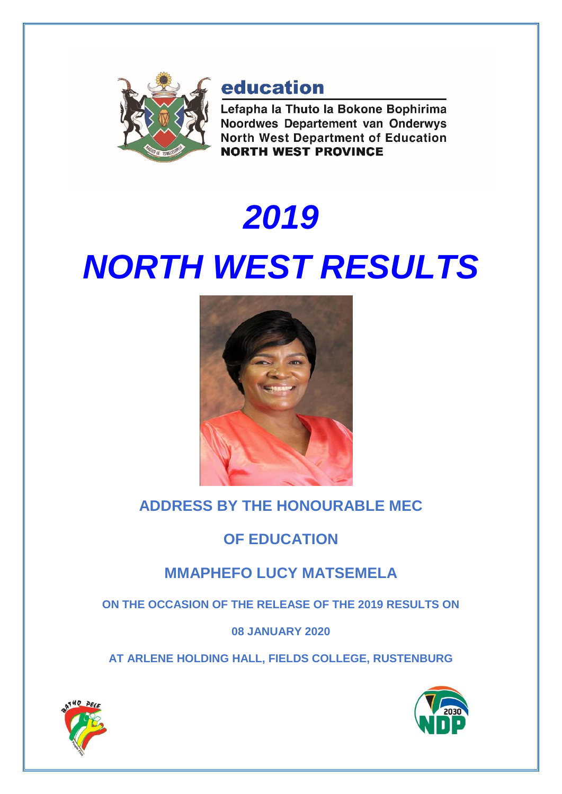

# education

Lefapha la Thuto la Bokone Bophirima Noordwes Departement van Onderwys **North West Department of Education NORTH WEST PROVINCE** 

# *2019 NORTH WEST RESULTS*



# **ADDRESS BY THE HONOURABLE MEC**

# **OF EDUCATION**

# **MMAPHEFO LUCY MATSEMELA**

**ON THE OCCASION OF THE RELEASE OF THE 2019 RESULTS ON** 

## **08 JANUARY 2020**

**AT ARLENE HOLDING HALL, FIELDS COLLEGE, RUSTENBURG**



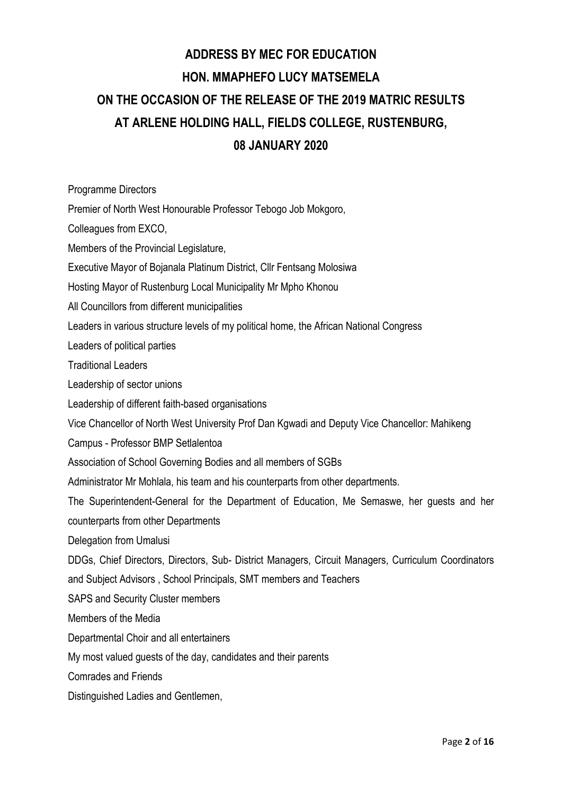# **ADDRESS BY MEC FOR EDUCATION HON. MMAPHEFO LUCY MATSEMELA ON THE OCCASION OF THE RELEASE OF THE 2019 MATRIC RESULTS AT ARLENE HOLDING HALL, FIELDS COLLEGE, RUSTENBURG, 08 JANUARY 2020**

Programme Directors

Premier of North West Honourable Professor Tebogo Job Mokgoro,

Colleagues from EXCO,

Members of the Provincial Legislature,

Executive Mayor of Bojanala Platinum District, Cllr Fentsang Molosiwa

Hosting Mayor of Rustenburg Local Municipality Mr Mpho Khonou

All Councillors from different municipalities

Leaders in various structure levels of my political home, the African National Congress

Leaders of political parties

Traditional Leaders

Leadership of sector unions

Leadership of different faith-based organisations

Vice Chancellor of North West University Prof Dan Kgwadi and Deputy Vice Chancellor: Mahikeng

Campus - Professor BMP Setlalentoa

Association of School Governing Bodies and all members of SGBs

Administrator Mr Mohlala, his team and his counterparts from other departments.

The Superintendent-General for the Department of Education, Me Semaswe, her guests and her counterparts from other Departments

Delegation from Umalusi

DDGs, Chief Directors, Directors, Sub- District Managers, Circuit Managers, Curriculum Coordinators and Subject Advisors , School Principals, SMT members and Teachers

SAPS and Security Cluster members

Members of the Media

Departmental Choir and all entertainers

My most valued guests of the day, candidates and their parents

Comrades and Friends

Distinguished Ladies and Gentlemen,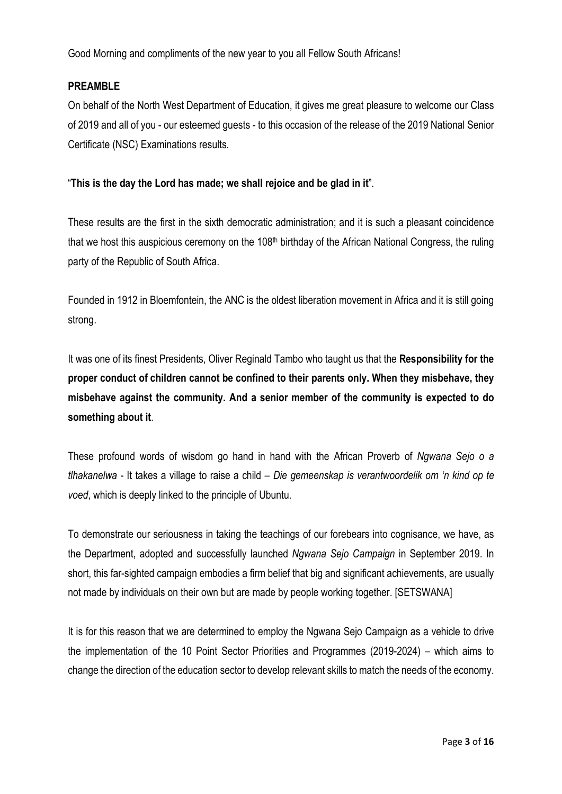Good Morning and compliments of the new year to you all Fellow South Africans!

## **PREAMBLE**

On behalf of the North West Department of Education, it gives me great pleasure to welcome our Class of 2019 and all of you - our esteemed guests - to this occasion of the release of the 2019 National Senior Certificate (NSC) Examinations results.

## "**This is the day the Lord has made; we shall rejoice and be glad in it**".

These results are the first in the sixth democratic administration; and it is such a pleasant coincidence that we host this auspicious ceremony on the 108<sup>th</sup> birthday of the African National Congress, the ruling party of the Republic of South Africa.

Founded in 1912 in Bloemfontein, the ANC is the oldest liberation movement in Africa and it is still going strong.

It was one of its finest Presidents, Oliver Reginald Tambo who taught us that the **Responsibility for the proper conduct of children cannot be confined to their parents only. When they misbehave, they misbehave against the community. And a senior member of the community is expected to do something about it**.

These profound words of wisdom go hand in hand with the African Proverb of *Ngwana Sejo o a tlhakanelwa* - It takes a village to raise a child – *Die gemeenskap is verantwoordelik om 'n kind op te voed*, which is deeply linked to the principle of Ubuntu.

To demonstrate our seriousness in taking the teachings of our forebears into cognisance, we have, as the Department, adopted and successfully launched *Ngwana Sejo Campaign* in September 2019. In short, this far-sighted campaign embodies a firm belief that big and significant achievements, are usually not made by individuals on their own but are made by people working together. [SETSWANA]

It is for this reason that we are determined to employ the Ngwana Sejo Campaign as a vehicle to drive the implementation of the 10 Point Sector Priorities and Programmes (2019-2024) – which aims to change the direction of the education sector to develop relevant skills to match the needs of the economy.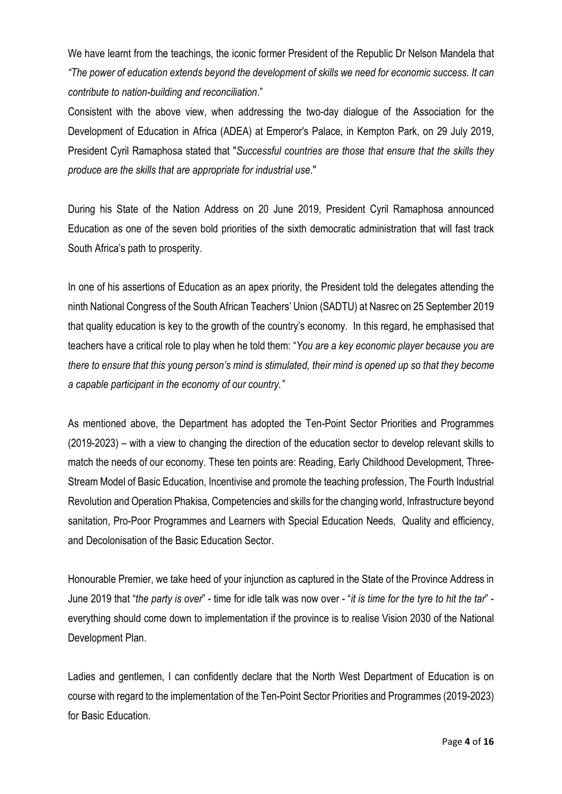We have learnt from the teachings, the iconic former President of the Republic Dr Nelson Mandela that *"The power of education extends beyond the development of skills we need for economic success. It can contribute to nation-building and reconciliation*."

Consistent with the above view, when addressing the two-day dialogue of the Association for the Development of Education in Africa (ADEA) at Emperor's Palace, in Kempton Park, on 29 July 2019, President Cyril Ramaphosa stated that "*Successful countries are those that ensure that the skills they produce are the skills that are appropriate for industrial use*."

During his State of the Nation Address on 20 June 2019, President Cyril Ramaphosa announced Education as one of the seven bold priorities of the sixth democratic administration that will fast track South Africa's path to prosperity.

In one of his assertions of Education as an apex priority, the President told the delegates attending the ninth National Congress of the South African Teachers' Union (SADTU) at Nasrec on 25 September 2019 that quality education is key to the growth of the country's economy. In this regard, he emphasised that teachers have a critical role to play when he told them: "*You are a key economic player because you are* there to ensure that this young person's mind is stimulated, their mind is opened up so that they become *a capable participant in the economy of our country."*

As mentioned above, the Department has adopted the Ten-Point Sector Priorities and Programmes (2019-2023) – with a view to changing the direction of the education sector to develop relevant skills to match the needs of our economy. These ten points are: Reading, Early Childhood Development, Three-Stream Model of Basic Education, Incentivise and promote the teaching profession, The Fourth Industrial Revolution and Operation Phakisa, Competencies and skills for the changing world, Infrastructure beyond sanitation, Pro-Poor Programmes and Learners with Special Education Needs, Quality and efficiency, and Decolonisation of the Basic Education Sector.

Honourable Premier, we take heed of your injunction as captured in the State of the Province Address in June 2019 that "*the party is over*" - time for idle talk was now over - "*it is time for the tyre to hit the tar*" everything should come down to implementation if the province is to realise Vision 2030 of the National Development Plan.

Ladies and gentlemen, I can confidently declare that the North West Department of Education is on course with regard to the implementation of the Ten-Point Sector Priorities and Programmes (2019-2023) for Basic Education.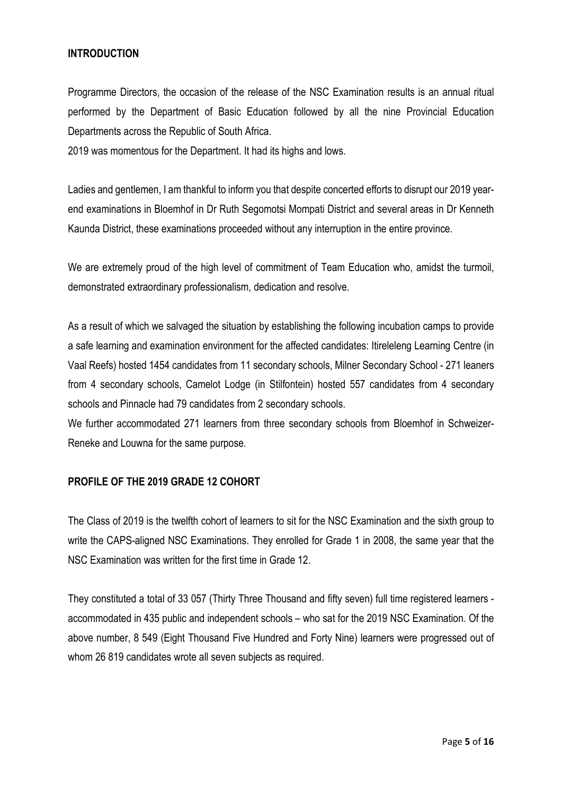## **INTRODUCTION**

Programme Directors, the occasion of the release of the NSC Examination results is an annual ritual performed by the Department of Basic Education followed by all the nine Provincial Education Departments across the Republic of South Africa.

2019 was momentous for the Department. It had its highs and lows.

Ladies and gentlemen, I am thankful to inform you that despite concerted efforts to disrupt our 2019 yearend examinations in Bloemhof in Dr Ruth Segomotsi Mompati District and several areas in Dr Kenneth Kaunda District, these examinations proceeded without any interruption in the entire province.

We are extremely proud of the high level of commitment of Team Education who, amidst the turmoil, demonstrated extraordinary professionalism, dedication and resolve.

As a result of which we salvaged the situation by establishing the following incubation camps to provide a safe learning and examination environment for the affected candidates: Itireleleng Learning Centre (in Vaal Reefs) hosted 1454 candidates from 11 secondary schools, Milner Secondary School - 271 leaners from 4 secondary schools, Camelot Lodge (in Stilfontein) hosted 557 candidates from 4 secondary schools and Pinnacle had 79 candidates from 2 secondary schools.

We further accommodated 271 learners from three secondary schools from Bloemhof in Schweizer-Reneke and Louwna for the same purpose.

## **PROFILE OF THE 2019 GRADE 12 COHORT**

The Class of 2019 is the twelfth cohort of learners to sit for the NSC Examination and the sixth group to write the CAPS-aligned NSC Examinations. They enrolled for Grade 1 in 2008, the same year that the NSC Examination was written for the first time in Grade 12.

They constituted a total of 33 057 (Thirty Three Thousand and fifty seven) full time registered learners accommodated in 435 public and independent schools – who sat for the 2019 NSC Examination. Of the above number, 8 549 (Eight Thousand Five Hundred and Forty Nine) learners were progressed out of whom 26 819 candidates wrote all seven subjects as required.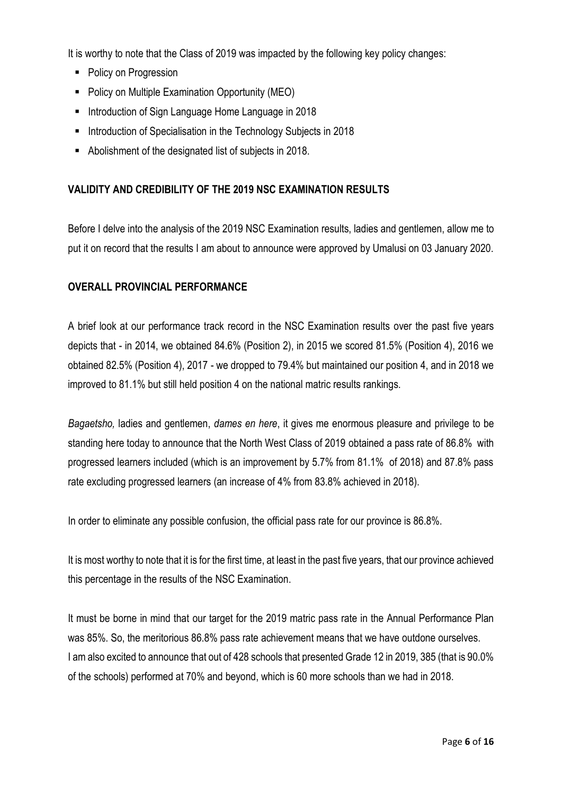It is worthy to note that the Class of 2019 was impacted by the following key policy changes:

- Policy on Progression
- Policy on Multiple Examination Opportunity (MEO)
- **Introduction of Sign Language Home Language in 2018**
- **Introduction of Specialisation in the Technology Subjects in 2018**
- Abolishment of the designated list of subjects in 2018.

## **VALIDITY AND CREDIBILITY OF THE 2019 NSC EXAMINATION RESULTS**

Before I delve into the analysis of the 2019 NSC Examination results, ladies and gentlemen, allow me to put it on record that the results I am about to announce were approved by Umalusi on 03 January 2020.

## **OVERALL PROVINCIAL PERFORMANCE**

A brief look at our performance track record in the NSC Examination results over the past five years depicts that - in 2014, we obtained 84.6% (Position 2), in 2015 we scored 81.5% (Position 4), 2016 we obtained 82.5% (Position 4), 2017 - we dropped to 79.4% but maintained our position 4, and in 2018 we improved to 81.1% but still held position 4 on the national matric results rankings.

*Bagaetsho,* ladies and gentlemen, *dames en here*, it gives me enormous pleasure and privilege to be standing here today to announce that the North West Class of 2019 obtained a pass rate of 86.8% with progressed learners included (which is an improvement by 5.7% from 81.1% of 2018) and 87.8% pass rate excluding progressed learners (an increase of 4% from 83.8% achieved in 2018).

In order to eliminate any possible confusion, the official pass rate for our province is 86.8%.

It is most worthy to note that it is for the first time, at least in the past five years, that our province achieved this percentage in the results of the NSC Examination.

It must be borne in mind that our target for the 2019 matric pass rate in the Annual Performance Plan was 85%. So, the meritorious 86.8% pass rate achievement means that we have outdone ourselves. I am also excited to announce that out of 428 schools that presented Grade 12 in 2019, 385 (that is 90.0% of the schools) performed at 70% and beyond, which is 60 more schools than we had in 2018.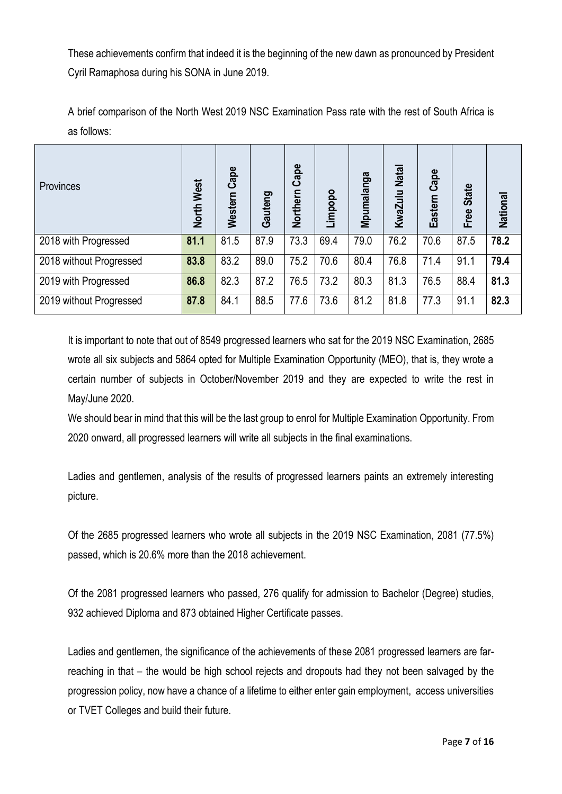These achievements confirm that indeed it is the beginning of the new dawn as pronounced by President Cyril Ramaphosa during his SONA in June 2019.

A brief comparison of the North West 2019 NSC Examination Pass rate with the rest of South Africa is as follows:

| <b>Provinces</b>        | North West | Western Cape | Gauteng | Northern Cape | Limpopo | Mpumalanga | KwaZulu Nata | Cape<br>Eastern | <b>State</b><br>Free | <b>National</b> |
|-------------------------|------------|--------------|---------|---------------|---------|------------|--------------|-----------------|----------------------|-----------------|
| 2018 with Progressed    | 81.1       | 81.5         | 87.9    | 73.3          | 69.4    | 79.0       | 76.2         | 70.6            | 87.5                 | 78.2            |
| 2018 without Progressed | 83.8       | 83.2         | 89.0    | 75.2          | 70.6    | 80.4       | 76.8         | 71.4            | 91.1                 | 79.4            |
| 2019 with Progressed    | 86.8       | 82.3         | 87.2    | 76.5          | 73.2    | 80.3       | 81.3         | 76.5            | 88.4                 | 81.3            |
| 2019 without Progressed | 87.8       | 84.1         | 88.5    | 77.6          | 73.6    | 81.2       | 81.8         | 77.3            | 91.1                 | 82.3            |

It is important to note that out of 8549 progressed learners who sat for the 2019 NSC Examination, 2685 wrote all six subjects and 5864 opted for Multiple Examination Opportunity (MEO), that is, they wrote a certain number of subjects in October/November 2019 and they are expected to write the rest in May/June 2020.

We should bear in mind that this will be the last group to enrol for Multiple Examination Opportunity. From 2020 onward, all progressed learners will write all subjects in the final examinations.

Ladies and gentlemen, analysis of the results of progressed learners paints an extremely interesting picture.

Of the 2685 progressed learners who wrote all subjects in the 2019 NSC Examination, 2081 (77.5%) passed, which is 20.6% more than the 2018 achievement.

Of the 2081 progressed learners who passed, 276 qualify for admission to Bachelor (Degree) studies, 932 achieved Diploma and 873 obtained Higher Certificate passes.

Ladies and gentlemen, the significance of the achievements of these 2081 progressed learners are farreaching in that – the would be high school rejects and dropouts had they not been salvaged by the progression policy, now have a chance of a lifetime to either enter gain employment, access universities or TVET Colleges and build their future.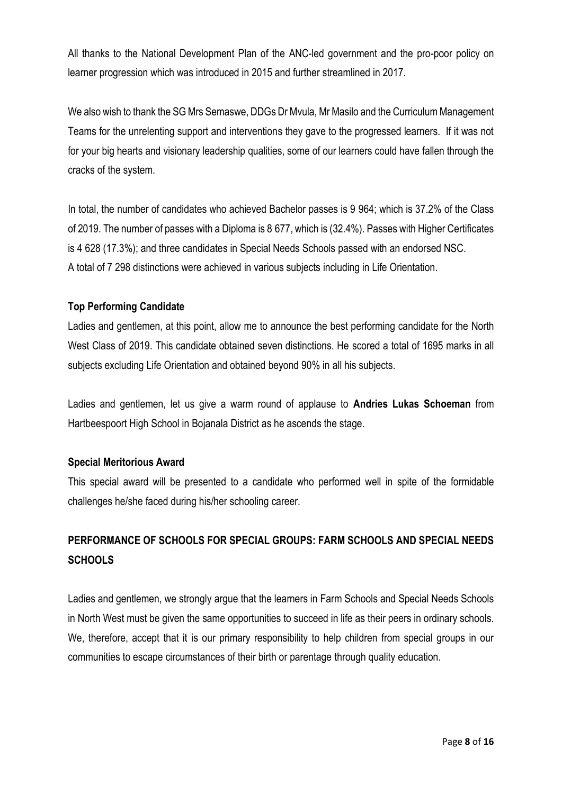All thanks to the National Development Plan of the ANC-led government and the pro-poor policy on learner progression which was introduced in 2015 and further streamlined in 2017.

We also wish to thank the SG Mrs Semaswe, DDGs Dr Mvula, Mr Masilo and the Curriculum Management Teams for the unrelenting support and interventions they gave to the progressed learners. If it was not for your big hearts and visionary leadership qualities, some of our learners could have fallen through the cracks of the system.

In total, the number of candidates who achieved Bachelor passes is 9 964; which is 37.2% of the Class of 2019. The number of passes with a Diploma is 8 677, which is (32.4%). Passes with Higher Certificates is 4 628 (17.3%); and three candidates in Special Needs Schools passed with an endorsed NSC. A total of 7 298 distinctions were achieved in various subjects including in Life Orientation.

## **Top Performing Candidate**

Ladies and gentlemen, at this point, allow me to announce the best performing candidate for the North West Class of 2019. This candidate obtained seven distinctions. He scored a total of 1695 marks in all subjects excluding Life Orientation and obtained beyond 90% in all his subjects.

Ladies and gentlemen, let us give a warm round of applause to **Andries Lukas Schoeman** from Hartbeespoort High School in Bojanala District as he ascends the stage.

## **Special Meritorious Award**

This special award will be presented to a candidate who performed well in spite of the formidable challenges he/she faced during his/her schooling career.

## **PERFORMANCE OF SCHOOLS FOR SPECIAL GROUPS: FARM SCHOOLS AND SPECIAL NEEDS SCHOOLS**

Ladies and gentlemen, we strongly argue that the learners in Farm Schools and Special Needs Schools in North West must be given the same opportunities to succeed in life as their peers in ordinary schools. We, therefore, accept that it is our primary responsibility to help children from special groups in our communities to escape circumstances of their birth or parentage through quality education.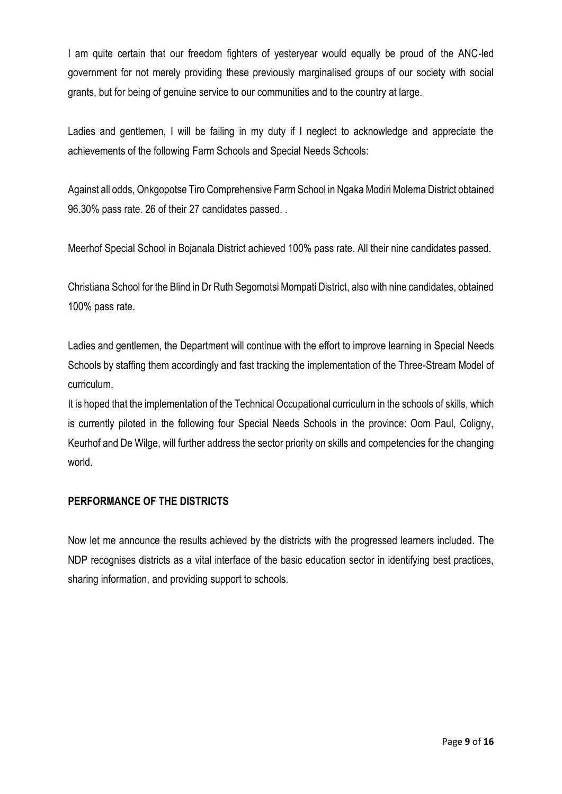I am quite certain that our freedom fighters of yesteryear would equally be proud of the ANC-led government for not merely providing these previously marginalised groups of our society with social grants, but for being of genuine service to our communities and to the country at large.

Ladies and gentlemen, I will be failing in my duty if I neglect to acknowledge and appreciate the achievements of the following Farm Schools and Special Needs Schools:

Against all odds, Onkgopotse Tiro Comprehensive FarmSchool in Ngaka Modiri Molema District obtained 96.30% pass rate. 26 of their 27 candidates passed. .

Meerhof Special School in Bojanala District achieved 100% pass rate. All their nine candidates passed.

Christiana School for the Blind in Dr Ruth Segomotsi Mompati District, also with nine candidates, obtained 100% pass rate.

Ladies and gentlemen, the Department will continue with the effort to improve learning in Special Needs Schools by staffing them accordingly and fast tracking the implementation of the Three-Stream Model of curriculum.

It is hoped that the implementation of the Technical Occupational curriculum in the schools of skills, which is currently piloted in the following four Special Needs Schools in the province: Oom Paul, Coligny, Keurhof and De Wilge, will further address the sector priority on skills and competencies for the changing world.

## **PERFORMANCE OF THE DISTRICTS**

Now let me announce the results achieved by the districts with the progressed learners included. The NDP recognises districts as a vital interface of the basic education sector in identifying best practices, sharing information, and providing support to schools.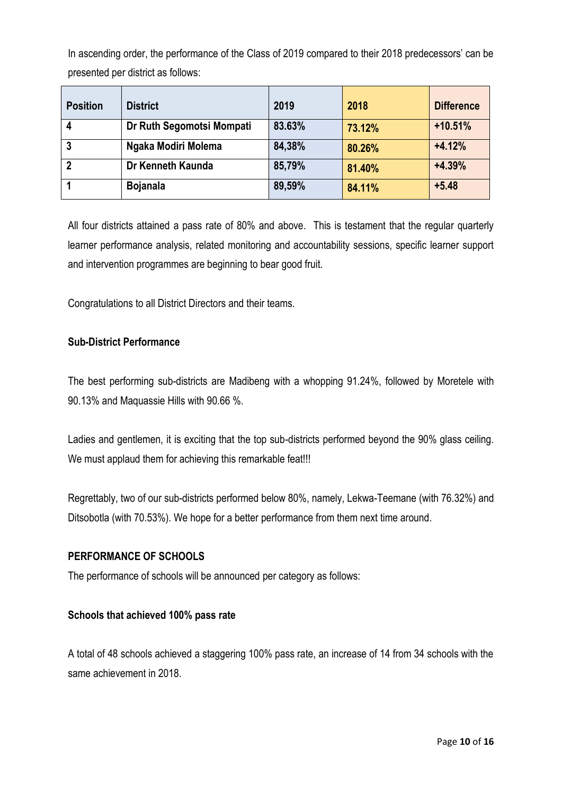In ascending order, the performance of the Class of 2019 compared to their 2018 predecessors' can be presented per district as follows:

| <b>Position</b> | <b>District</b>           | 2019   | 2018   | <b>Difference</b> |
|-----------------|---------------------------|--------|--------|-------------------|
|                 | Dr Ruth Segomotsi Mompati | 83.63% | 73.12% | $+10.51%$         |
| -3              | Ngaka Modiri Molema       | 84,38% | 80.26% | $+4.12%$          |
| $\mathbf{2}$    | Dr Kenneth Kaunda         | 85,79% | 81.40% | $+4.39%$          |
|                 | <b>Bojanala</b>           | 89,59% | 84.11% | $+5.48$           |

All four districts attained a pass rate of 80% and above. This is testament that the regular quarterly learner performance analysis, related monitoring and accountability sessions, specific learner support and intervention programmes are beginning to bear good fruit.

Congratulations to all District Directors and their teams.

## **Sub-District Performance**

The best performing sub-districts are Madibeng with a whopping 91.24%, followed by Moretele with 90.13% and Maquassie Hills with 90.66 %.

Ladies and gentlemen, it is exciting that the top sub-districts performed beyond the 90% glass ceiling. We must applaud them for achieving this remarkable feat!!!

Regrettably, two of our sub-districts performed below 80%, namely, Lekwa-Teemane (with 76.32%) and Ditsobotla (with 70.53%). We hope for a better performance from them next time around.

## **PERFORMANCE OF SCHOOLS**

The performance of schools will be announced per category as follows:

## **Schools that achieved 100% pass rate**

A total of 48 schools achieved a staggering 100% pass rate, an increase of 14 from 34 schools with the same achievement in 2018.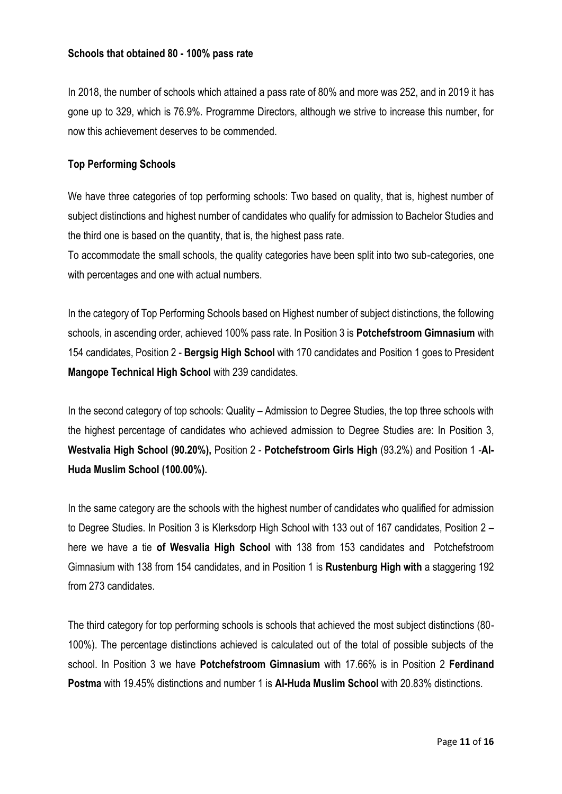## **Schools that obtained 80 - 100% pass rate**

In 2018, the number of schools which attained a pass rate of 80% and more was 252, and in 2019 it has gone up to 329, which is 76.9%. Programme Directors, although we strive to increase this number, for now this achievement deserves to be commended.

## **Top Performing Schools**

We have three categories of top performing schools: Two based on quality, that is, highest number of subject distinctions and highest number of candidates who qualify for admission to Bachelor Studies and the third one is based on the quantity, that is, the highest pass rate.

To accommodate the small schools, the quality categories have been split into two sub-categories, one with percentages and one with actual numbers.

In the category of Top Performing Schools based on Highest number of subject distinctions, the following schools, in ascending order, achieved 100% pass rate. In Position 3 is **Potchefstroom Gimnasium** with 154 candidates, Position 2 - **Bergsig High School** with 170 candidates and Position 1 goes to President **Mangope Technical High School** with 239 candidates.

In the second category of top schools: Quality – Admission to Degree Studies, the top three schools with the highest percentage of candidates who achieved admission to Degree Studies are: In Position 3, **Westvalia High School (90.20%),** Position 2 - **Potchefstroom Girls High** (93.2%) and Position 1 -**Al-Huda Muslim School (100.00%).**

In the same category are the schools with the highest number of candidates who qualified for admission to Degree Studies. In Position 3 is Klerksdorp High School with 133 out of 167 candidates, Position 2 – here we have a tie **of Wesvalia High School** with 138 from 153 candidates and Potchefstroom Gimnasium with 138 from 154 candidates, and in Position 1 is **Rustenburg High with** a staggering 192 from 273 candidates.

The third category for top performing schools is schools that achieved the most subject distinctions (80- 100%). The percentage distinctions achieved is calculated out of the total of possible subjects of the school. In Position 3 we have **Potchefstroom Gimnasium** with 17.66% is in Position 2 **Ferdinand Postma** with 19.45% distinctions and number 1 is **Al-Huda Muslim School** with 20.83% distinctions.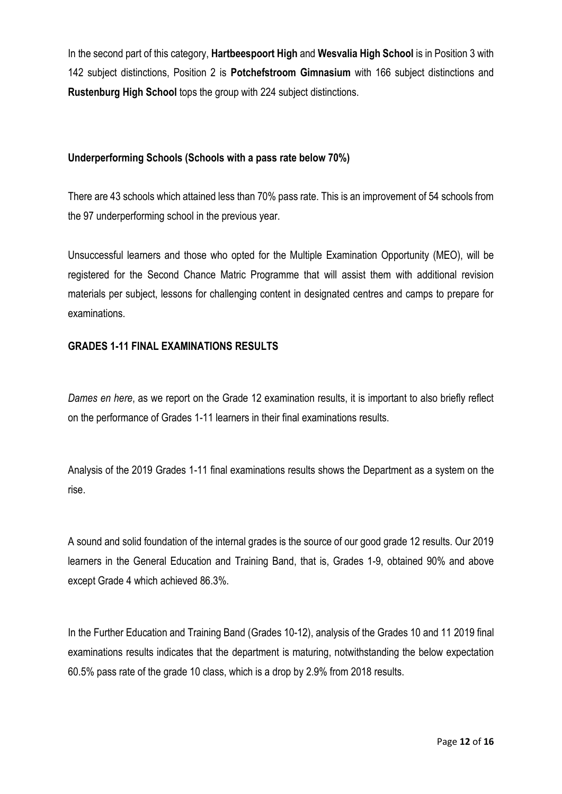In the second part of this category, **Hartbeespoort High** and **Wesvalia High School** is in Position 3 with 142 subject distinctions, Position 2 is **Potchefstroom Gimnasium** with 166 subject distinctions and **Rustenburg High School** tops the group with 224 subject distinctions.

## **Underperforming Schools (Schools with a pass rate below 70%)**

There are 43 schools which attained less than 70% pass rate. This is an improvement of 54 schools from the 97 underperforming school in the previous year.

Unsuccessful learners and those who opted for the Multiple Examination Opportunity (MEO), will be registered for the Second Chance Matric Programme that will assist them with additional revision materials per subject, lessons for challenging content in designated centres and camps to prepare for examinations.

## **GRADES 1-11 FINAL EXAMINATIONS RESULTS**

*Dames en here*, as we report on the Grade 12 examination results, it is important to also briefly reflect on the performance of Grades 1-11 learners in their final examinations results.

Analysis of the 2019 Grades 1-11 final examinations results shows the Department as a system on the rise.

A sound and solid foundation of the internal grades is the source of our good grade 12 results. Our 2019 learners in the General Education and Training Band, that is, Grades 1-9, obtained 90% and above except Grade 4 which achieved 86.3%.

In the Further Education and Training Band (Grades 10-12), analysis of the Grades 10 and 11 2019 final examinations results indicates that the department is maturing, notwithstanding the below expectation 60.5% pass rate of the grade 10 class, which is a drop by 2.9% from 2018 results.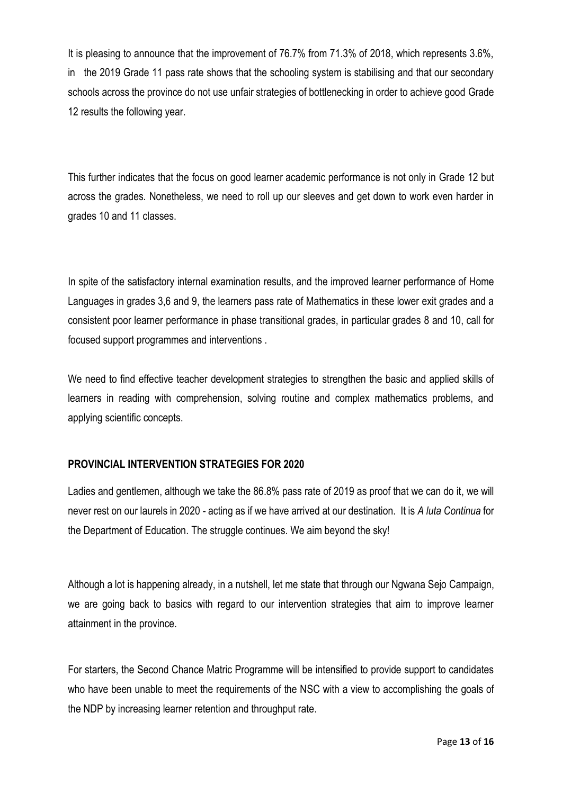It is pleasing to announce that the improvement of 76.7% from 71.3% of 2018, which represents 3.6%, in the 2019 Grade 11 pass rate shows that the schooling system is stabilising and that our secondary schools across the province do not use unfair strategies of bottlenecking in order to achieve good Grade 12 results the following year.

This further indicates that the focus on good learner academic performance is not only in Grade 12 but across the grades. Nonetheless, we need to roll up our sleeves and get down to work even harder in grades 10 and 11 classes.

In spite of the satisfactory internal examination results, and the improved learner performance of Home Languages in grades 3,6 and 9, the learners pass rate of Mathematics in these lower exit grades and a consistent poor learner performance in phase transitional grades, in particular grades 8 and 10, call for focused support programmes and interventions .

We need to find effective teacher development strategies to strengthen the basic and applied skills of learners in reading with comprehension, solving routine and complex mathematics problems, and applying scientific concepts.

## **PROVINCIAL INTERVENTION STRATEGIES FOR 2020**

Ladies and gentlemen, although we take the 86.8% pass rate of 2019 as proof that we can do it, we will never rest on our laurels in 2020 - acting as if we have arrived at our destination. It is *A luta Continua* for the Department of Education. The struggle continues. We aim beyond the sky!

Although a lot is happening already, in a nutshell, let me state that through our Ngwana Sejo Campaign, we are going back to basics with regard to our intervention strategies that aim to improve learner attainment in the province.

For starters, the Second Chance Matric Programme will be intensified to provide support to candidates who have been unable to meet the requirements of the NSC with a view to accomplishing the goals of the NDP by increasing learner retention and throughput rate.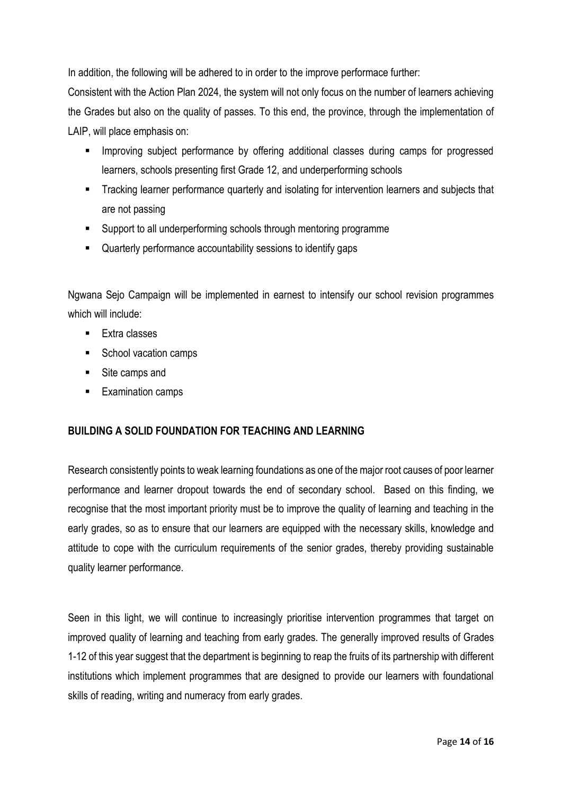In addition, the following will be adhered to in order to the improve performace further:

Consistent with the Action Plan 2024, the system will not only focus on the number of learners achieving the Grades but also on the quality of passes. To this end, the province, through the implementation of LAIP, will place emphasis on:

- **IMPROVING Subject performance by offering additional classes during camps for progressed** learners, schools presenting first Grade 12, and underperforming schools
- **Tracking learner performance quarterly and isolating for intervention learners and subjects that** are not passing
- Support to all underperforming schools through mentoring programme
- Quarterly performance accountability sessions to identify gaps

Ngwana Sejo Campaign will be implemented in earnest to intensify our school revision programmes which will include:

- **Extra classes**
- School vacation camps
- Site camps and
- **Examination camps**

## **BUILDING A SOLID FOUNDATION FOR TEACHING AND LEARNING**

Research consistently points to weak learning foundations as one of the major root causes of poor learner performance and learner dropout towards the end of secondary school. Based on this finding, we recognise that the most important priority must be to improve the quality of learning and teaching in the early grades, so as to ensure that our learners are equipped with the necessary skills, knowledge and attitude to cope with the curriculum requirements of the senior grades, thereby providing sustainable quality learner performance.

Seen in this light, we will continue to increasingly prioritise intervention programmes that target on improved quality of learning and teaching from early grades. The generally improved results of Grades 1-12 of this year suggest that the department is beginning to reap the fruits of its partnership with different institutions which implement programmes that are designed to provide our learners with foundational skills of reading, writing and numeracy from early grades.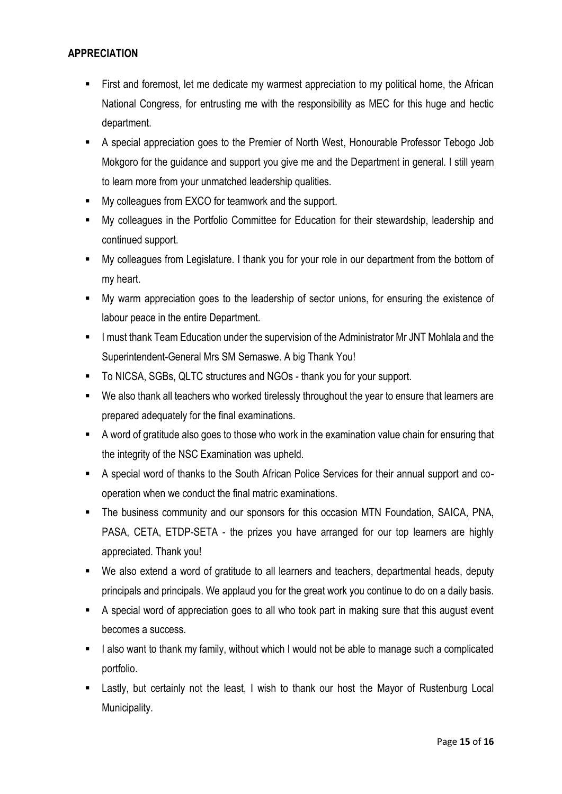## **APPRECIATION**

- First and foremost, let me dedicate my warmest appreciation to my political home, the African National Congress, for entrusting me with the responsibility as MEC for this huge and hectic department.
- A special appreciation goes to the Premier of North West, Honourable Professor Tebogo Job Mokgoro for the guidance and support you give me and the Department in general. I still yearn to learn more from your unmatched leadership qualities.
- My colleagues from EXCO for teamwork and the support.
- My colleagues in the Portfolio Committee for Education for their stewardship, leadership and continued support.
- My colleagues from Legislature. I thank you for your role in our department from the bottom of my heart.
- My warm appreciation goes to the leadership of sector unions, for ensuring the existence of labour peace in the entire Department.
- **I must thank Team Education under the supervision of the Administrator Mr JNT Mohlala and the** Superintendent-General Mrs SM Semaswe. A big Thank You!
- To NICSA, SGBs, QLTC structures and NGOs thank you for your support.
- We also thank all teachers who worked tirelessly throughout the year to ensure that learners are prepared adequately for the final examinations.
- A word of gratitude also goes to those who work in the examination value chain for ensuring that the integrity of the NSC Examination was upheld.
- A special word of thanks to the South African Police Services for their annual support and cooperation when we conduct the final matric examinations.
- The business community and our sponsors for this occasion MTN Foundation, SAICA, PNA, PASA, CETA, ETDP-SETA - the prizes you have arranged for our top learners are highly appreciated. Thank you!
- We also extend a word of gratitude to all learners and teachers, departmental heads, deputy principals and principals. We applaud you for the great work you continue to do on a daily basis.
- A special word of appreciation goes to all who took part in making sure that this august event becomes a success.
- I also want to thank my family, without which I would not be able to manage such a complicated portfolio.
- **EXECT** Lastly, but certainly not the least, I wish to thank our host the Mayor of Rustenburg Local Municipality.